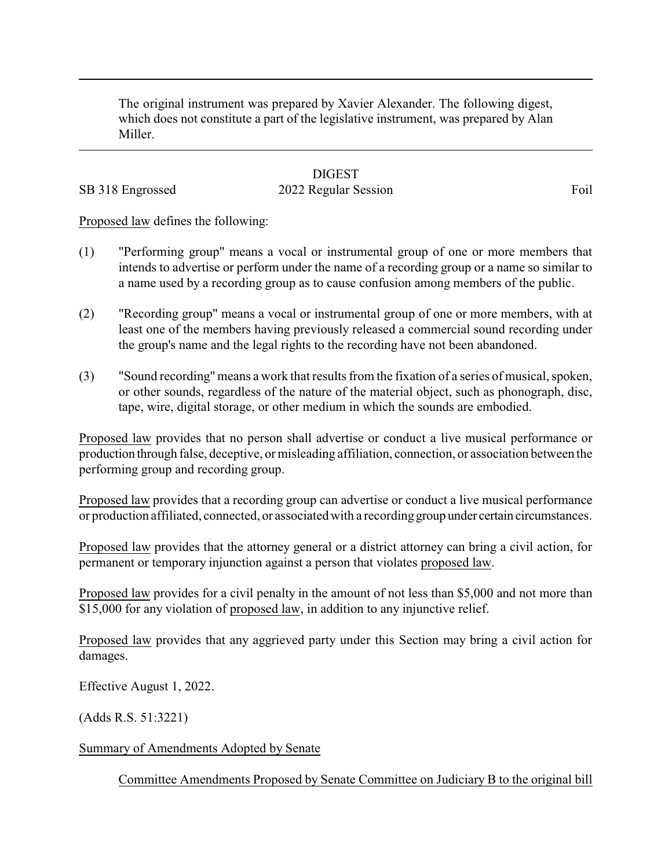The original instrument was prepared by Xavier Alexander. The following digest, which does not constitute a part of the legislative instrument, was prepared by Alan Miller.

## **DIGEST**

SB 318 Engrossed 2022 Regular Session Foil

Proposed law defines the following:

- (1) "Performing group" means a vocal or instrumental group of one or more members that intends to advertise or perform under the name of a recording group or a name so similar to a name used by a recording group as to cause confusion among members of the public.
- (2) "Recording group" means a vocal or instrumental group of one or more members, with at least one of the members having previously released a commercial sound recording under the group's name and the legal rights to the recording have not been abandoned.
- (3) "Sound recording" means a work that results from the fixation of a series of musical, spoken, or other sounds, regardless of the nature of the material object, such as phonograph, disc, tape, wire, digital storage, or other medium in which the sounds are embodied.

Proposed law provides that no person shall advertise or conduct a live musical performance or production through false, deceptive, or misleading affiliation, connection, or association between the performing group and recording group.

Proposed law provides that a recording group can advertise or conduct a live musical performance or production affiliated, connected, or associated with a recordinggroup under certain circumstances.

Proposed law provides that the attorney general or a district attorney can bring a civil action, for permanent or temporary injunction against a person that violates proposed law.

Proposed law provides for a civil penalty in the amount of not less than \$5,000 and not more than \$15,000 for any violation of proposed law, in addition to any injunctive relief.

Proposed law provides that any aggrieved party under this Section may bring a civil action for damages.

Effective August 1, 2022.

(Adds R.S. 51:3221)

Summary of Amendments Adopted by Senate

Committee Amendments Proposed by Senate Committee on Judiciary B to the original bill